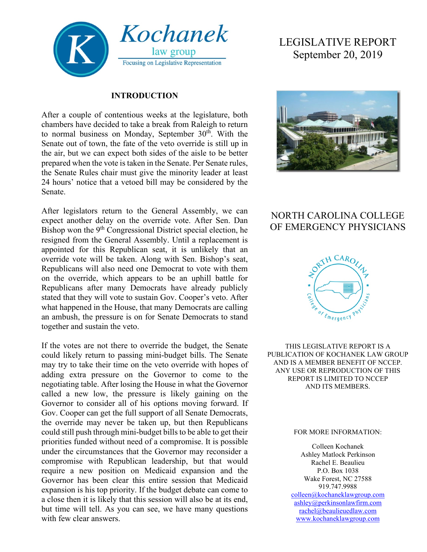

### **INTRODUCTION**

After a couple of contentious weeks at the legislature, both chambers have decided to take a break from Raleigh to return to normal business on Monday, September  $30<sup>th</sup>$ . With the Senate out of town, the fate of the veto override is still up in the air, but we can expect both sides of the aisle to be better prepared when the vote is taken in the Senate. Per Senate rules, the Senate Rules chair must give the minority leader at least 24 hours' notice that a vetoed bill may be considered by the Senate.

After legislators return to the General Assembly, we can expect another delay on the override vote. After Sen. Dan Bishop won the 9<sup>th</sup> Congressional District special election, he resigned from the General Assembly. Until a replacement is appointed for this Republican seat, it is unlikely that an override vote will be taken. Along with Sen. Bishop's seat, Republicans will also need one Democrat to vote with them on the override, which appears to be an uphill battle for Republicans after many Democrats have already publicly stated that they will vote to sustain Gov. Cooper's veto. After what happened in the House, that many Democrats are calling an ambush, the pressure is on for Senate Democrats to stand together and sustain the veto.

If the votes are not there to override the budget, the Senate could likely return to passing mini-budget bills. The Senate may try to take their time on the veto override with hopes of adding extra pressure on the Governor to come to the negotiating table. After losing the House in what the Governor called a new low, the pressure is likely gaining on the Governor to consider all of his options moving forward. If Gov. Cooper can get the full support of all Senate Democrats, the override may never be taken up, but then Republicans could still push through mini-budget bills to be able to get their priorities funded without need of a compromise. It is possible under the circumstances that the Governor may reconsider a compromise with Republican leadership, but that would require a new position on Medicaid expansion and the Governor has been clear this entire session that Medicaid expansion is his top priority. If the budget debate can come to a close then it is likely that this session will also be at its end, but time will tell. As you can see, we have many questions with few clear answers.

# LEGISLATIVE REPORT September 20, 2019



# NORTH CAROLINA COLLEGE OF EMERGENCY PHYSICIANS



THIS LEGISLATIVE REPORT IS A PUBLICATION OF KOCHANEK LAW GROUP AND IS A MEMBER BENEFIT OF NCCEP. ANY USE OR REPRODUCTION OF THIS REPORT IS LIMITED TO NCCEP AND ITS MEMBERS.

#### FOR MORE INFORMATION:

Colleen Kochanek Ashley Matlock Perkinson Rachel E. Beaulieu P.O. Box 1038 Wake Forest, NC 27588 919.747.9988 [colleen@kochaneklawgroup.com](mailto:colleen@kochaneklawgroup.com) [ashley@perkinsonlawfirm.com](mailto:ashley@perkinsonlawfirm.com) [rachel@beaulieuedlaw.com](mailto:rachel@beaulieuedlaw.com)

[www.kochaneklawgroup.com](http://www.kochaneklawgroup.com/)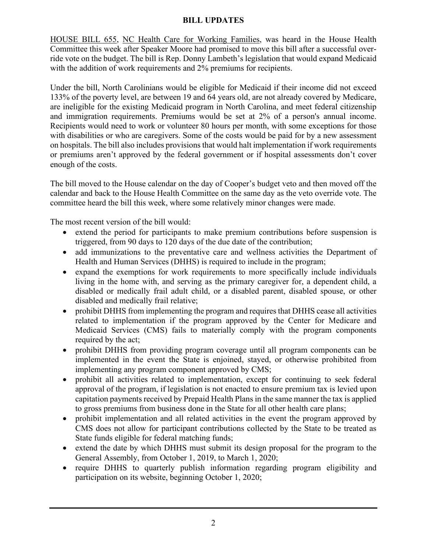## **BILL UPDATES**

HOUSE BILL 655, NC Health Care for Working Families, was heard in the House Health Committee this week after Speaker Moore had promised to move this bill after a successful override vote on the budget. The bill is Rep. Donny Lambeth's legislation that would expand Medicaid with the addition of work requirements and 2% premiums for recipients.

Under the bill, North Carolinians would be eligible for Medicaid if their income did not exceed 133% of the poverty level, are between 19 and 64 years old, are not already covered by Medicare, are ineligible for the existing Medicaid program in North Carolina, and meet federal citizenship and immigration requirements. Premiums would be set at 2% of a person's annual income. Recipients would need to work or volunteer 80 hours per month, with some exceptions for those with disabilities or who are caregivers. Some of the costs would be paid for by a new assessment on hospitals. The bill also includes provisions that would halt implementation if work requirements or premiums aren't approved by the federal government or if hospital assessments don't cover enough of the costs.

The bill moved to the House calendar on the day of Cooper's budget veto and then moved off the calendar and back to the House Health Committee on the same day as the veto override vote. The committee heard the bill this week, where some relatively minor changes were made.

The most recent version of the bill would:

- extend the period for participants to make premium contributions before suspension is triggered, from 90 days to 120 days of the due date of the contribution;
- add immunizations to the preventative care and wellness activities the Department of Health and Human Services (DHHS) is required to include in the program;
- expand the exemptions for work requirements to more specifically include individuals living in the home with, and serving as the primary caregiver for, a dependent child, a disabled or medically frail adult child, or a disabled parent, disabled spouse, or other disabled and medically frail relative;
- prohibit DHHS from implementing the program and requires that DHHS cease all activities related to implementation if the program approved by the Center for Medicare and Medicaid Services (CMS) fails to materially comply with the program components required by the act;
- prohibit DHHS from providing program coverage until all program components can be implemented in the event the State is enjoined, stayed, or otherwise prohibited from implementing any program component approved by CMS;
- prohibit all activities related to implementation, except for continuing to seek federal approval of the program, if legislation is not enacted to ensure premium tax is levied upon capitation payments received by Prepaid Health Plans in the same manner the tax is applied to gross premiums from business done in the State for all other health care plans;
- prohibit implementation and all related activities in the event the program approved by CMS does not allow for participant contributions collected by the State to be treated as State funds eligible for federal matching funds;
- extend the date by which DHHS must submit its design proposal for the program to the General Assembly, from October 1, 2019, to March 1, 2020;
- require DHHS to quarterly publish information regarding program eligibility and participation on its website, beginning October 1, 2020;